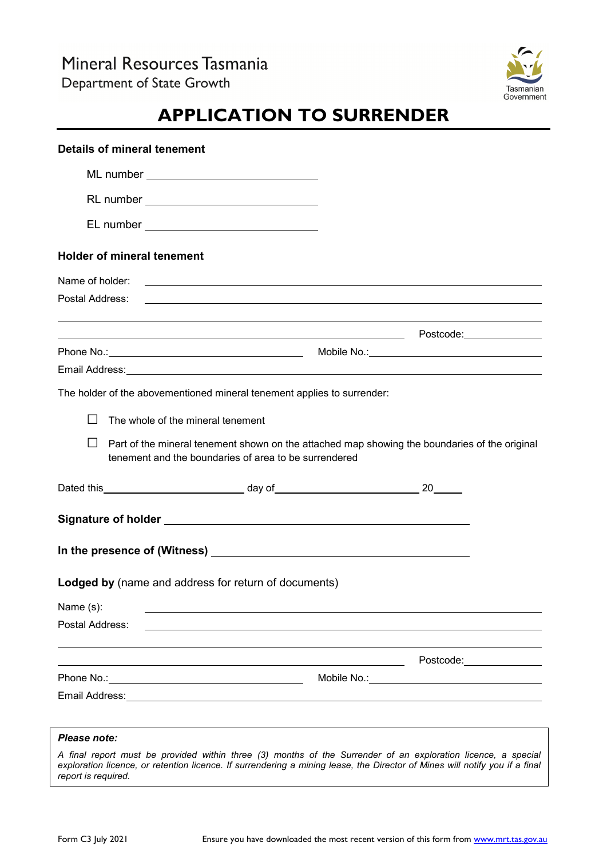

# **APPLICATION TO SURRENDER**

|                                                                                                                                                                                                                                                                     | <b>Details of mineral tenement</b>                                                                                                                                                                                                   |  |                                                                                                                                                                                                                                |  |  |
|---------------------------------------------------------------------------------------------------------------------------------------------------------------------------------------------------------------------------------------------------------------------|--------------------------------------------------------------------------------------------------------------------------------------------------------------------------------------------------------------------------------------|--|--------------------------------------------------------------------------------------------------------------------------------------------------------------------------------------------------------------------------------|--|--|
|                                                                                                                                                                                                                                                                     |                                                                                                                                                                                                                                      |  |                                                                                                                                                                                                                                |  |  |
|                                                                                                                                                                                                                                                                     |                                                                                                                                                                                                                                      |  |                                                                                                                                                                                                                                |  |  |
|                                                                                                                                                                                                                                                                     |                                                                                                                                                                                                                                      |  |                                                                                                                                                                                                                                |  |  |
|                                                                                                                                                                                                                                                                     | <b>Holder of mineral tenement</b>                                                                                                                                                                                                    |  |                                                                                                                                                                                                                                |  |  |
| Name of holder:                                                                                                                                                                                                                                                     | <u>state and the state of the state of the state of the state of the state of the state of the state of the state of the state of the state of the state of the state of the state of the state of the state of the state of the</u> |  |                                                                                                                                                                                                                                |  |  |
| Postal Address:                                                                                                                                                                                                                                                     | ,我们也不会有什么。""我们的人,我们也不会有什么?""我们的人,我们也不会有什么?""我们的人,我们也不会有什么?""我们的人,我们也不会有什么?""我们的人                                                                                                                                                     |  |                                                                                                                                                                                                                                |  |  |
|                                                                                                                                                                                                                                                                     | ,我们也不会有什么。""我们的人,我们也不会有什么?""我们的人,我们也不会有什么?""我们的人,我们也不会有什么?""我们的人,我们也不会有什么?""我们的人                                                                                                                                                     |  |                                                                                                                                                                                                                                |  |  |
|                                                                                                                                                                                                                                                                     |                                                                                                                                                                                                                                      |  |                                                                                                                                                                                                                                |  |  |
|                                                                                                                                                                                                                                                                     |                                                                                                                                                                                                                                      |  |                                                                                                                                                                                                                                |  |  |
|                                                                                                                                                                                                                                                                     | The holder of the abovementioned mineral tenement applies to surrender:                                                                                                                                                              |  |                                                                                                                                                                                                                                |  |  |
| $\mathsf{L}$                                                                                                                                                                                                                                                        | The whole of the mineral tenement                                                                                                                                                                                                    |  |                                                                                                                                                                                                                                |  |  |
| $\Box$<br>Part of the mineral tenement shown on the attached map showing the boundaries of the original<br>tenement and the boundaries of area to be surrendered                                                                                                    |                                                                                                                                                                                                                                      |  |                                                                                                                                                                                                                                |  |  |
|                                                                                                                                                                                                                                                                     |                                                                                                                                                                                                                                      |  |                                                                                                                                                                                                                                |  |  |
|                                                                                                                                                                                                                                                                     |                                                                                                                                                                                                                                      |  |                                                                                                                                                                                                                                |  |  |
|                                                                                                                                                                                                                                                                     |                                                                                                                                                                                                                                      |  |                                                                                                                                                                                                                                |  |  |
|                                                                                                                                                                                                                                                                     | Lodged by (name and address for return of documents)                                                                                                                                                                                 |  |                                                                                                                                                                                                                                |  |  |
| Name (s):                                                                                                                                                                                                                                                           |                                                                                                                                                                                                                                      |  |                                                                                                                                                                                                                                |  |  |
| Postal Address:                                                                                                                                                                                                                                                     |                                                                                                                                                                                                                                      |  |                                                                                                                                                                                                                                |  |  |
|                                                                                                                                                                                                                                                                     |                                                                                                                                                                                                                                      |  | Postcode: New York Discoversion Control Control Control Control Control Control Control Control Control Control Control Control Control Control Control Control Control Control Control Control Control Control Control Contro |  |  |
|                                                                                                                                                                                                                                                                     |                                                                                                                                                                                                                                      |  |                                                                                                                                                                                                                                |  |  |
|                                                                                                                                                                                                                                                                     |                                                                                                                                                                                                                                      |  |                                                                                                                                                                                                                                |  |  |
|                                                                                                                                                                                                                                                                     |                                                                                                                                                                                                                                      |  |                                                                                                                                                                                                                                |  |  |
| Please note:                                                                                                                                                                                                                                                        |                                                                                                                                                                                                                                      |  |                                                                                                                                                                                                                                |  |  |
| A final report must be provided within three (3) months of the Surrender of an exploration licence, a special<br>exploration licence, or retention licence. If surrendering a mining lease, the Director of Mines will notify you if a final<br>report is required. |                                                                                                                                                                                                                                      |  |                                                                                                                                                                                                                                |  |  |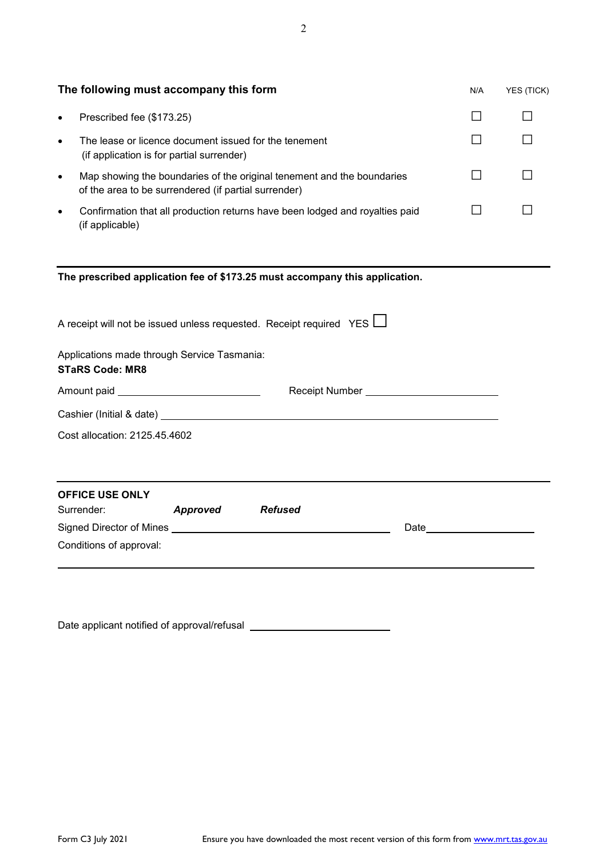| The following must accompany this form<br>N/A                                                                                                                                                                                                                                                                                                                                                                |                        |              |              |  |  |  |  |
|--------------------------------------------------------------------------------------------------------------------------------------------------------------------------------------------------------------------------------------------------------------------------------------------------------------------------------------------------------------------------------------------------------------|------------------------|--------------|--------------|--|--|--|--|
| Prescribed fee (\$173.25)<br>$\bullet$                                                                                                                                                                                                                                                                                                                                                                       |                        |              | $\Box$       |  |  |  |  |
| The lease or licence document issued for the tenement<br>$\bullet$<br>(if application is for partial surrender)                                                                                                                                                                                                                                                                                              |                        |              | $\mathsf{L}$ |  |  |  |  |
| Map showing the boundaries of the original tenement and the boundaries<br>$\bullet$<br>of the area to be surrendered (if partial surrender)                                                                                                                                                                                                                                                                  |                        | $\mathsf{L}$ |              |  |  |  |  |
| Confirmation that all production returns have been lodged and royalties paid<br>$\bullet$<br>(if applicable)                                                                                                                                                                                                                                                                                                 |                        | $\mathbf{L}$ |              |  |  |  |  |
| The prescribed application fee of \$173.25 must accompany this application.<br>A receipt will not be issued unless requested. Receipt required YES L<br>Applications made through Service Tasmania:<br><b>STaRS Code: MR8</b>                                                                                                                                                                                |                        |              |              |  |  |  |  |
| Amount paid _________________________________<br>Receipt Number ____________________________                                                                                                                                                                                                                                                                                                                 |                        |              |              |  |  |  |  |
|                                                                                                                                                                                                                                                                                                                                                                                                              |                        |              |              |  |  |  |  |
| Cost allocation: 2125.45.4602                                                                                                                                                                                                                                                                                                                                                                                |                        |              |              |  |  |  |  |
|                                                                                                                                                                                                                                                                                                                                                                                                              | <b>OFFICE USE ONLY</b> |              |              |  |  |  |  |
| Surrender:<br><b>Approved</b><br><b>Refused</b><br>Date and the state of the state of the state of the state of the state of the state of the state of the state of the state of the state of the state of the state of the state of the state of the state of the state of the s<br>Signed Director of Mines <b>contained a large service of Mines</b> and the service of the service of the service of the |                        |              |              |  |  |  |  |
| Conditions of approval:                                                                                                                                                                                                                                                                                                                                                                                      |                        |              |              |  |  |  |  |
|                                                                                                                                                                                                                                                                                                                                                                                                              |                        |              |              |  |  |  |  |

Date applicant notified of approval/refusal